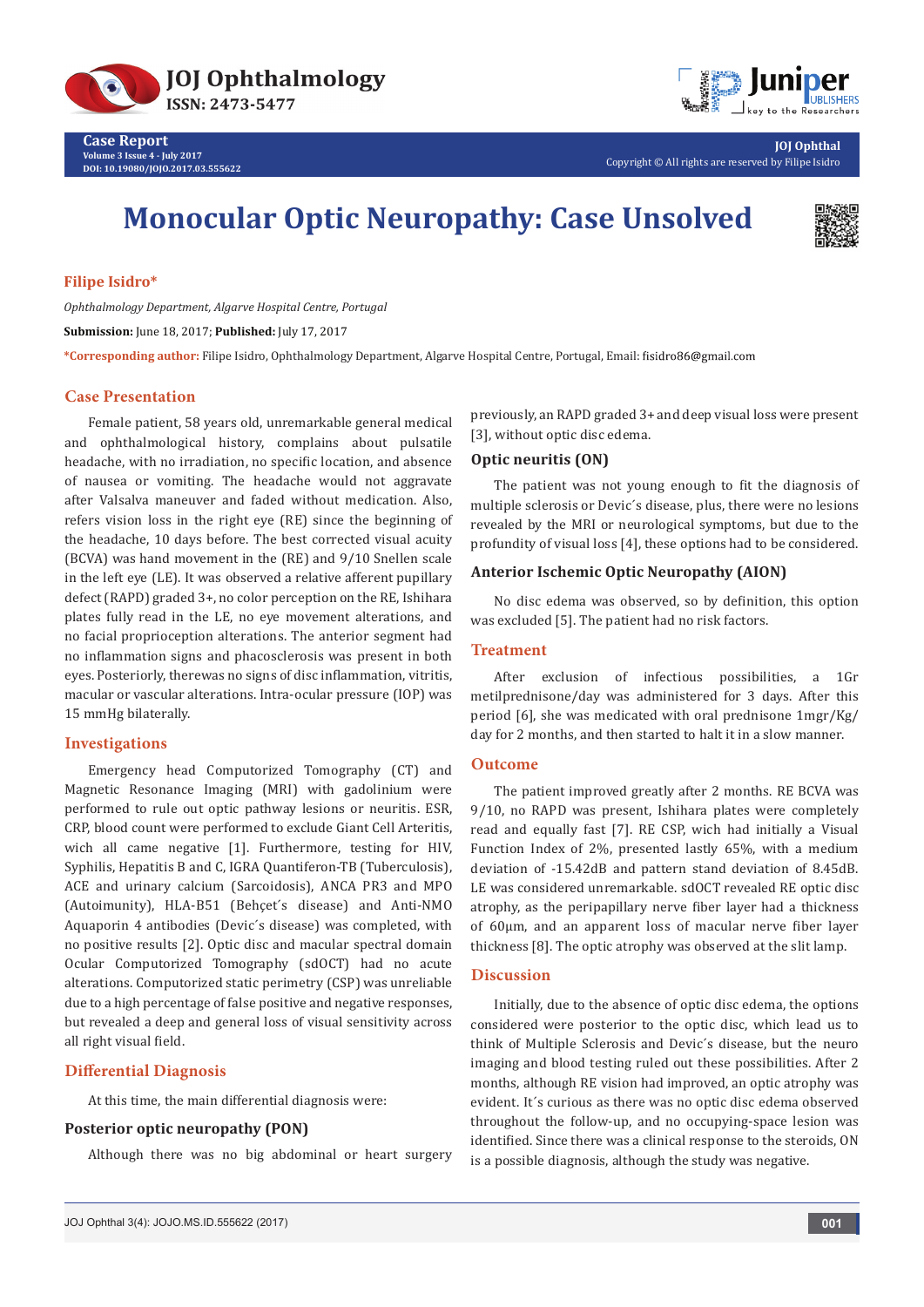

**DOI: [10.19080/JOJO.2017.03.555622](http://dx.doi.org/10.19080/JOJO.2017.03.555622
)**



**JOJ Ophthal** Copyright © All rights are reserved by Filipe Isidro

# **Monocular Optic Neuropathy: Case Unsolved**



# **Filipe Isidro\***

*Ophthalmology Department, Algarve Hospital Centre, Portugal*

**Submission:** June 18, 2017; **Published:** July 17, 2017

**\*Corresponding author:** Filipe Isidro, Ophthalmology Department, Algarve Hospital Centre, Portugal, Email:

## **Case Presentation**

Female patient, 58 years old, unremarkable general medical and ophthalmological history, complains about pulsatile headache, with no irradiation, no specific location, and absence of nausea or vomiting. The headache would not aggravate after Valsalva maneuver and faded without medication. Also, refers vision loss in the right eye (RE) since the beginning of the headache, 10 days before. The best corrected visual acuity (BCVA) was hand movement in the (RE) and 9/10 Snellen scale in the left eye (LE). It was observed a relative afferent pupillary defect (RAPD) graded 3+, no color perception on the RE, Ishihara plates fully read in the LE, no eye movement alterations, and no facial proprioception alterations. The anterior segment had no inflammation signs and phacosclerosis was present in both eyes. Posteriorly, therewas no signs of disc inflammation, vitritis, macular or vascular alterations. Intra-ocular pressure (IOP) was 15 mmHg bilaterally.

## **Investigations**

Emergency head Computorized Tomography (CT) and Magnetic Resonance Imaging (MRI) with gadolinium were performed to rule out optic pathway lesions or neuritis. ESR, CRP, blood count were performed to exclude Giant Cell Arteritis, wich all came negative [1]. Furthermore, testing for HIV, Syphilis, Hepatitis B and C, IGRA Quantiferon-TB (Tuberculosis), ACE and urinary calcium (Sarcoidosis), ANCA PR3 and MPO (Autoimunity), HLA-B51 (Behçet´s disease) and Anti-NMO Aquaporin 4 antibodies (Devic´s disease) was completed, with no positive results [2]. Optic disc and macular spectral domain Ocular Computorized Tomography (sdOCT) had no acute alterations. Computorized static perimetry (CSP) was unreliable due to a high percentage of false positive and negative responses, but revealed a deep and general loss of visual sensitivity across all right visual field.

## **Differential Diagnosis**

At this time, the main differential diagnosis were:

# **Posterior optic neuropathy (PON)**

Although there was no big abdominal or heart surgery

previously, an RAPD graded 3+ and deep visual loss were present [3], without optic disc edema.

# **Optic neuritis (ON)**

The patient was not young enough to fit the diagnosis of multiple sclerosis or Devic´s disease, plus, there were no lesions revealed by the MRI or neurological symptoms, but due to the profundity of visual loss [4], these options had to be considered.

# **Anterior Ischemic Optic Neuropathy (AION)**

No disc edema was observed, so by definition, this option was excluded [5]. The patient had no risk factors.

#### **Treatment**

After exclusion of infectious possibilities, a 1Gr metilprednisone/day was administered for 3 days. After this period [6], she was medicated with oral prednisone 1mgr/Kg/ day for 2 months, and then started to halt it in a slow manner.

#### **Outcome**

The patient improved greatly after 2 months. RE BCVA was 9/10, no RAPD was present, Ishihara plates were completely read and equally fast [7]. RE CSP, wich had initially a Visual Function Index of 2%, presented lastly 65%, with a medium deviation of -15.42dB and pattern stand deviation of 8.45dB. LE was considered unremarkable. sdOCT revealed RE optic disc atrophy, as the peripapillary nerve fiber layer had a thickness of 60μm, and an apparent loss of macular nerve fiber layer thickness [8]. The optic atrophy was observed at the slit lamp.

# **Discussion**

Initially, due to the absence of optic disc edema, the options considered were posterior to the optic disc, which lead us to think of Multiple Sclerosis and Devic´s disease, but the neuro imaging and blood testing ruled out these possibilities. After 2 months, although RE vision had improved, an optic atrophy was evident. It´s curious as there was no optic disc edema observed throughout the follow-up, and no occupying-space lesion was identified. Since there was a clinical response to the steroids, ON is a possible diagnosis, although the study was negative.